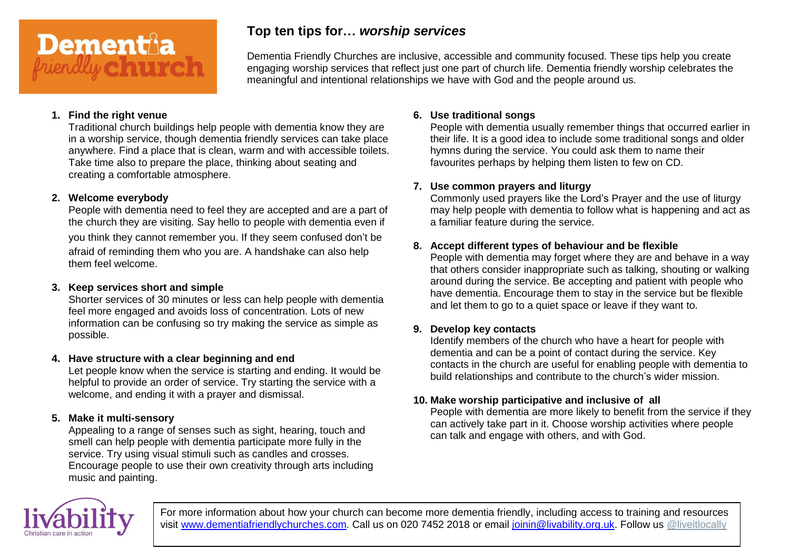# Dementa

# **Top ten tips for…** *worship services*

Dementia Friendly Churches are inclusive, accessible and community focused. These tips help you create engaging worship services that reflect just one part of church life. Dementia friendly worship celebrates the meaningful and intentional relationships we have with God and the people around us.

#### **1. Find the right venue**

Traditional church buildings help people with dementia know they are in a worship service, though dementia friendly services can take place anywhere. Find a place that is clean, warm and with accessible toilets. Take time also to prepare the place, thinking about seating and creating a comfortable atmosphere.

#### **2. Welcome everybody**

People with dementia need to feel they are accepted and are a part of the church they are visiting. Say hello to people with dementia even if you think they cannot remember you. If they seem confused don't be afraid of reminding them who you are. A handshake can also help them feel welcome.

#### **3. Keep services short and simple**

Shorter services of 30 minutes or less can help people with dementia feel more engaged and avoids loss of concentration. Lots of new information can be confusing so try making the service as simple as possible.

#### **4. Have structure with a clear beginning and end**

Let people know when the service is starting and ending. It would be helpful to provide an order of service. Try starting the service with a welcome, and ending it with a prayer and dismissal.

#### **5. Make it multi-sensory**

Appealing to a range of senses such as sight, hearing, touch and smell can help people with dementia participate more fully in the service. Try using visual stimuli such as candles and crosses. Encourage people to use their own creativity through arts including music and painting.

#### **6. Use traditional songs**

People with dementia usually remember things that occurred earlier in their life. It is a good idea to include some traditional songs and older hymns during the service. You could ask them to name their favourites perhaps by helping them listen to few on CD.

#### **7. Use common prayers and liturgy**

Commonly used prayers like the Lord's Prayer and the use of liturgy may help people with dementia to follow what is happening and act as a familiar feature during the service.

#### **8. Accept different types of behaviour and be flexible**

People with dementia may forget where they are and behave in a way that others consider inappropriate such as talking, shouting or walking around during the service. Be accepting and patient with people who have dementia. Encourage them to stay in the service but be flexible and let them to go to a quiet space or leave if they want to.

#### **9. Develop key contacts**

Identify members of the church who have a heart for people with dementia and can be a point of contact during the service. Key contacts in the church are useful for enabling people with dementia to build relationships and contribute to the church's wider mission.

### **10. Make worship participative and inclusive of all**

People with dementia are more likely to benefit from the service if they can actively take part in it. Choose worship activities where people can talk and engage with others, and with God.

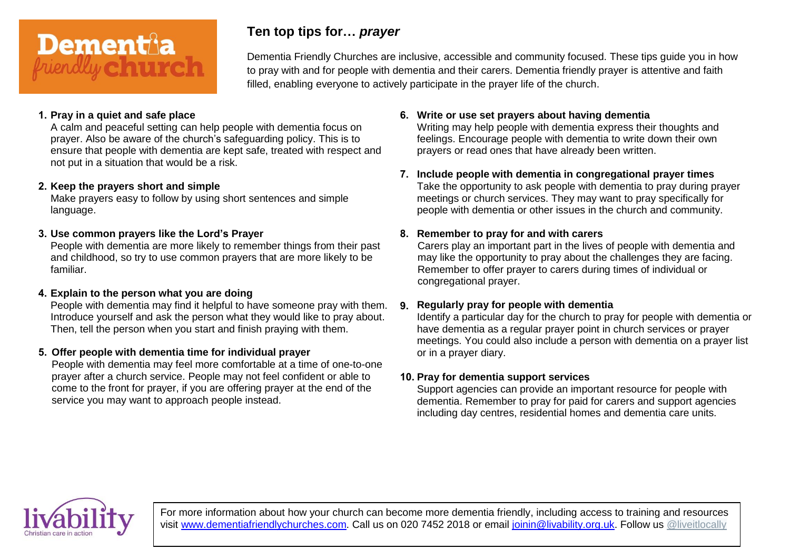

# **Ten top tips for…** *prayer*

Dementia Friendly Churches are inclusive, accessible and community focused. These tips guide you in how to pray with and for people with dementia and their carers. Dementia friendly prayer is attentive and faith filled, enabling everyone to actively participate in the prayer life of the church.

#### **1. Pray in a quiet and safe place**

A calm and peaceful setting can help people with dementia focus on prayer. Also be aware of the church's safeguarding policy. This is to ensure that people with dementia are kept safe, treated with respect and not put in a situation that would be a risk.

#### **2. Keep the prayers short and simple**

Make prayers easy to follow by using short sentences and simple language.

#### **3. Use common prayers like the Lord's Prayer**

People with dementia are more likely to remember things from their past and childhood, so try to use common prayers that are more likely to be familiar.

#### **4. Explain to the person what you are doing**

People with dementia may find it helpful to have someone pray with them. Introduce yourself and ask the person what they would like to pray about. Then, tell the person when you start and finish praying with them.

#### **5. Offer people with dementia time for individual prayer**

People with dementia may feel more comfortable at a time of one-to-one prayer after a church service. People may not feel confident or able to come to the front for prayer, if you are offering prayer at the end of the service you may want to approach people instead.

**6. Write or use set prayers about having dementia** Writing may help people with dementia express their thoughts and feelings. Encourage people with dementia to write down their own prayers or read ones that have already been written.

# **7. Include people with dementia in congregational prayer times**

Take the opportunity to ask people with dementia to pray during prayer meetings or church services. They may want to pray specifically for people with dementia or other issues in the church and community.

#### **8. Remember to pray for and with carers**

Carers play an important part in the lives of people with dementia and may like the opportunity to pray about the challenges they are facing. Remember to offer prayer to carers during times of individual or congregational prayer.

#### **9. Regularly pray for people with dementia**

Identify a particular day for the church to pray for people with dementia or have dementia as a regular prayer point in church services or prayer meetings. You could also include a person with dementia on a prayer list or in a prayer diary.

#### **10. Pray for dementia support services**

Support agencies can provide an important resource for people with dementia. Remember to pray for paid for carers and support agencies including day centres, residential homes and dementia care units.

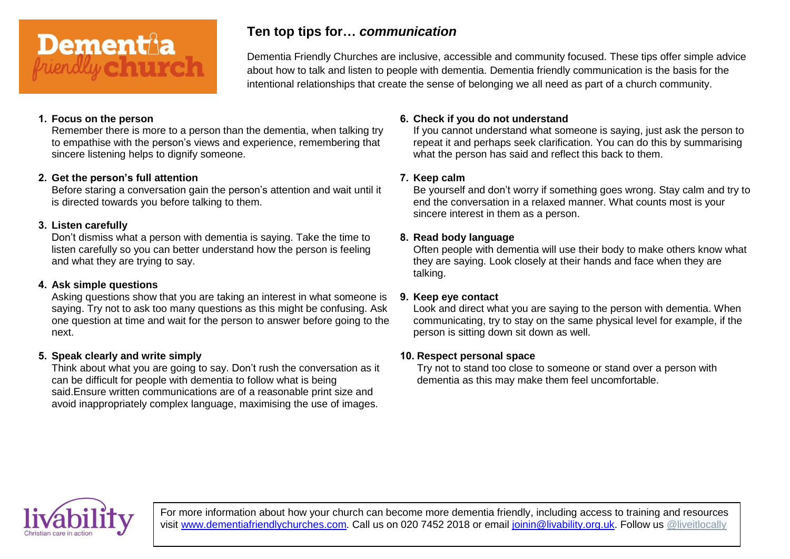

## **Ten top tips for…** *communication*

Dementia Friendly Churches are inclusive, accessible and community focused. These tips offer simple advice about how to talk and listen to people with dementia. Dementia friendly communication is the basis for the intentional relationships that create the sense of belonging we all need as part of a church community.

#### **1. Focus on the person**

Remember there is more to a person than the dementia, when talking try to empathise with the person's views and experience, remembering that sincere listening helps to dignify someone.

#### **2. Get the person's full attention**

Before staring a conversation gain the person's attention and wait until it is directed towards you before talking to them.

#### **3. Listen carefully**

Don't dismiss what a person with dementia is saying. Take the time to listen carefully so you can better understand how the person is feeling and what they are trying to say.

#### **4. Ask simple questions**

Asking questions show that you are taking an interest in what someone is saying. Try not to ask too many questions as this might be confusing. Ask one question at time and wait for the person to answer before going to the next.

#### **5. Speak clearly and write simply**

Think about what you are going to say. Don't rush the conversation as it can be difficult for people with dementia to follow what is being said.Ensure written communications are of a reasonable print size and avoid inappropriately complex language, maximising the use of images.

#### **6. Check if you do not understand**

If you cannot understand what someone is saying, just ask the person to repeat it and perhaps seek clarification. You can do this by summarising what the person has said and reflect this back to them.

#### **7. Keep calm**

Be yourself and don't worry if something goes wrong. Stay calm and try to end the conversation in a relaxed manner. What counts most is your sincere interest in them as a person.

#### **8. Read body language**

Often people with dementia will use their body to make others know what they are saying. Look closely at their hands and face when they are talking.

#### **9. Keep eye contact**

Look and direct what you are saying to the person with dementia. When communicating, try to stay on the same physical level for example, if the person is sitting down sit down as well.

#### **10. Respect personal space**

Try not to stand too close to someone or stand over a person with dementia as this may make them feel uncomfortable.

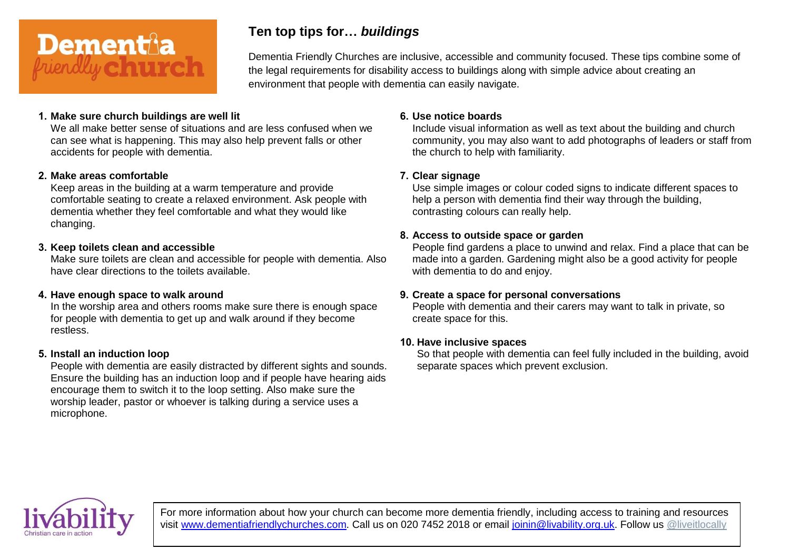

# **Ten top tips for…** *buildings*

Dementia Friendly Churches are inclusive, accessible and community focused. These tips combine some of the legal requirements for disability access to buildings along with simple advice about creating an environment that people with dementia can easily navigate.

#### **1. Make sure church buildings are well lit**

We all make better sense of situations and are less confused when we can see what is happening. This may also help prevent falls or other accidents for people with dementia.

#### **2. Make areas comfortable**

Keep areas in the building at a warm temperature and provide comfortable seating to create a relaxed environment. Ask people with dementia whether they feel comfortable and what they would like changing.

#### **3. Keep toilets clean and accessible**

Make sure toilets are clean and accessible for people with dementia. Also have clear directions to the toilets available.

#### **4. Have enough space to walk around**

In the worship area and others rooms make sure there is enough space for people with dementia to get up and walk around if they become restless.

#### **5. Install an induction loop**

People with dementia are easily distracted by different sights and sounds. Ensure the building has an induction loop and if people have hearing aids encourage them to switch it to the loop setting. Also make sure the worship leader, pastor or whoever is talking during a service uses a microphone.

#### **6. Use notice boards**

Include visual information as well as text about the building and church community, you may also want to add photographs of leaders or staff from the church to help with familiarity.

#### **7. Clear signage**

Use simple images or colour coded signs to indicate different spaces to help a person with dementia find their way through the building, contrasting colours can really help.

#### **8. Access to outside space or garden**

People find gardens a place to unwind and relax. Find a place that can be made into a garden. Gardening might also be a good activity for people with dementia to do and enjoy.

#### **9. Create a space for personal conversations**

People with dementia and their carers may want to talk in private, so create space for this.

#### **10. Have inclusive spaces**

So that people with dementia can feel fully included in the building, avoid separate spaces which prevent exclusion.

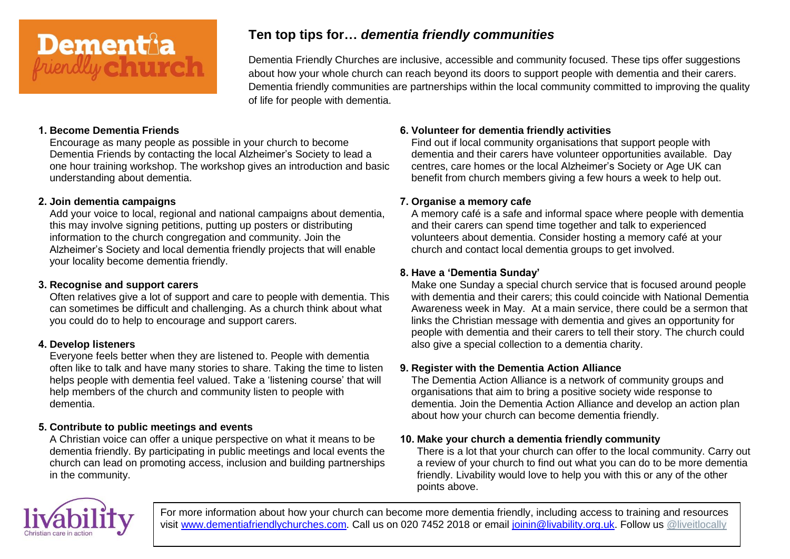

# **Ten top tips for…** *dementia friendly communities*

Dementia Friendly Churches are inclusive, accessible and community focused. These tips offer suggestions about how your whole church can reach beyond its doors to support people with dementia and their carers. Dementia friendly communities are partnerships within the local community committed to improving the quality of life for people with dementia.

#### **1. Become Dementia Friends**

Encourage as many people as possible in your church to become Dementia Friends by contacting the local Alzheimer's Society to lead a one hour training workshop. The workshop gives an introduction and basic understanding about dementia.

#### **2. Join dementia campaigns**

Add your voice to local, regional and national campaigns about dementia, this may involve signing petitions, putting up posters or distributing information to the church congregation and community. Join the Alzheimer's Society and local dementia friendly projects that will enable your locality become dementia friendly.

#### **3. Recognise and support carers**

Often relatives give a lot of support and care to people with dementia. This can sometimes be difficult and challenging. As a church think about what you could do to help to encourage and support carers.

#### **4. Develop listeners**

Everyone feels better when they are listened to. People with dementia often like to talk and have many stories to share. Taking the time to listen helps people with dementia feel valued. Take a 'listening course' that will help members of the church and community listen to people with dementia.

#### **5. Contribute to public meetings and events**

A Christian voice can offer a unique perspective on what it means to be dementia friendly. By participating in public meetings and local events the church can lead on promoting access, inclusion and building partnerships in the community.

#### **6. Volunteer for dementia friendly activities**

Find out if local community organisations that support people with dementia and their carers have volunteer opportunities available. Day centres, care homes or the local Alzheimer's Society or Age UK can benefit from church members giving a few hours a week to help out.

#### **7. Organise a memory cafe**

A memory café is a safe and informal space where people with dementia and their carers can spend time together and talk to experienced volunteers about dementia. Consider hosting a memory café at your church and contact local dementia groups to get involved.

#### **8. Have a 'Dementia Sunday'**

Make one Sunday a special church service that is focused around people with dementia and their carers; this could coincide with National Dementia Awareness week in May. At a main service, there could be a sermon that links the Christian message with dementia and gives an opportunity for people with dementia and their carers to tell their story. The church could also give a special collection to a dementia charity.

#### **9. Register with the Dementia Action Alliance**

The Dementia Action Alliance is a network of community groups and organisations that aim to bring a positive society wide response to dementia. Join the Dementia Action Alliance and develop an action plan about how your church can become dementia friendly.

#### **10. Make your church a dementia friendly community**

There is a lot that your church can offer to the local community. Carry out a review of your church to find out what you can do to be more dementia friendly. Livability would love to help you with this or any of the other points above.